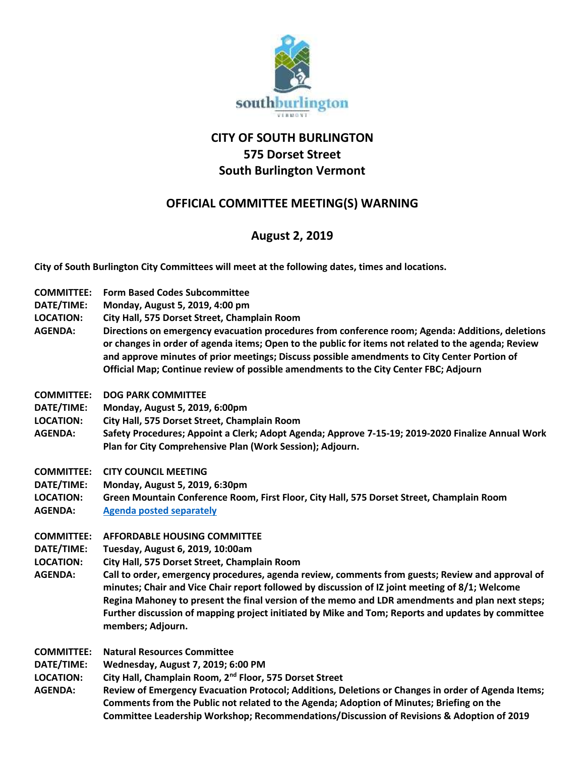

## **CITY OF SOUTH BURLINGTON 575 Dorset Street South Burlington Vermont**

## **OFFICIAL COMMITTEE MEETING(S) WARNING**

## **August 2, 2019**

**City of South Burlington City Committees will meet at the following dates, times and locations.** 

- **COMMITTEE: Form Based Codes Subcommittee**
- **DATE/TIME: Monday, August 5, 2019, 4:00 pm**
- **LOCATION: City Hall, 575 Dorset Street, Champlain Room**
- **AGENDA: Directions on emergency evacuation procedures from conference room; Agenda: Additions, deletions or changes in order of agenda items; Open to the public for items not related to the agenda; Review and approve minutes of prior meetings; Discuss possible amendments to City Center Portion of Official Map; Continue review of possible amendments to the City Center FBC; Adjourn**
- **COMMITTEE: DOG PARK COMMITTEE**
- **DATE/TIME: Monday, August 5, 2019, 6:00pm**
- **LOCATION: City Hall, 575 Dorset Street, Champlain Room**
- **AGENDA: Safety Procedures; Appoint a Clerk; Adopt Agenda; Approve 7-15-19; 2019-2020 Finalize Annual Work Plan for City Comprehensive Plan (Work Session); Adjourn.**
- **COMMITTEE: CITY COUNCIL MEETING**
- **DATE/TIME: Monday, August 5, 2019, 6:30pm**
- **LOCATION: Green Mountain Conference Room, First Floor, City Hall, 575 Dorset Street, Champlain Room AGENDA: [Agenda posted separately](../../Agendas-%20City%20Council/2019%20City%20Council%20Agendas/08%20Aug.%205,%202019/8-5-2019%20Agenda.pdf)**
- 
- **COMMITTEE: AFFORDABLE HOUSING COMMITTEE**
- **DATE/TIME: Tuesday, August 6, 2019, 10:00am**
- **LOCATION: City Hall, 575 Dorset Street, Champlain Room**
- **AGENDA: Call to order, emergency procedures, agenda review, comments from guests; Review and approval of minutes; Chair and Vice Chair report followed by discussion of IZ joint meeting of 8/1; Welcome Regina Mahoney to present the final version of the memo and LDR amendments and plan next steps; Further discussion of mapping project initiated by Mike and Tom; Reports and updates by committee members; Adjourn.**
- **COMMITTEE: Natural Resources Committee**
- **DATE/TIME: Wednesday, August 7, 2019; 6:00 PM**
- **LOCATION: City Hall, Champlain Room, 2nd Floor, 575 Dorset Street**
- **AGENDA: Review of Emergency Evacuation Protocol; Additions, Deletions or Changes in order of Agenda Items; Comments from the Public not related to the Agenda; Adoption of Minutes; Briefing on the Committee Leadership Workshop; Recommendations/Discussion of Revisions & Adoption of 2019**